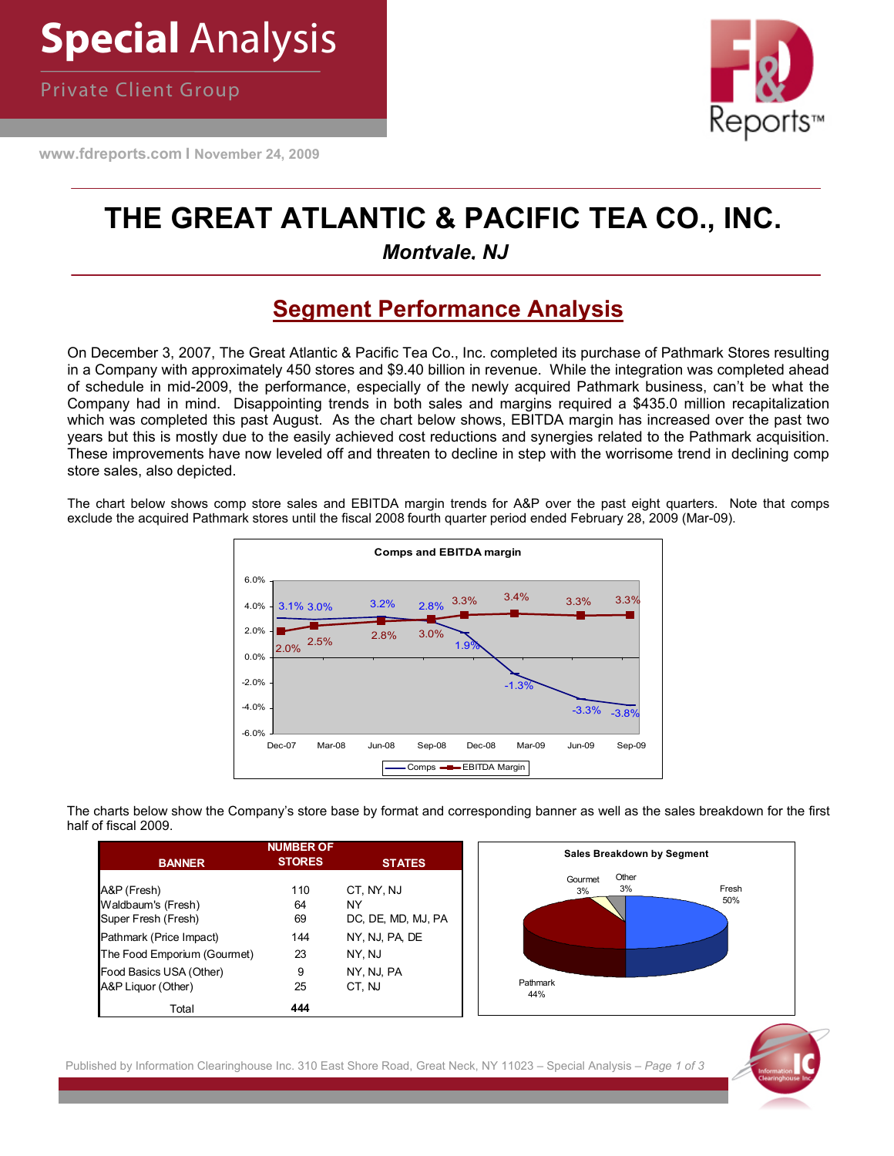Private Client Group

**www.fdreports.com I November 24, 2009**



## **THE GREAT ATLANTIC & PACIFIC TEA CO., INC.**

 *Montvale, NJ*

## **Segment Performance Analysis**

On December 3, 2007, The Great Atlantic & Pacific Tea Co., Inc. completed its purchase of Pathmark Stores resulting in a Company with approximately 450 stores and \$9.40 billion in revenue. While the integration was completed ahead of schedule in mid-2009, the performance, especially of the newly acquired Pathmark business, can't be what the Company had in mind. Disappointing trends in both sales and margins required a \$435.0 million recapitalization which was completed this past August. As the chart below shows, EBITDA margin has increased over the past two years but this is mostly due to the easily achieved cost reductions and synergies related to the Pathmark acquisition. These improvements have now leveled off and threaten to decline in step with the worrisome trend in declining comp store sales, also depicted.

The chart below shows comp store sales and EBITDA margin trends for A&P over the past eight quarters. Note that comps exclude the acquired Pathmark stores until the fiscal 2008 fourth quarter period ended February 28, 2009 (Mar-09).



The charts below show the Company's store base by format and corresponding banner as well as the sales breakdown for the first half of fiscal 2009.

|                                                          | <b>NUMBER OF</b> |                                        |                 | <b>Sales Breakdown by Segment</b> |
|----------------------------------------------------------|------------------|----------------------------------------|-----------------|-----------------------------------|
| <b>BANNER</b>                                            | <b>STORES</b>    | <b>STATES</b>                          |                 |                                   |
| A&P (Fresh)<br>Waldbaum's (Fresh)<br>Super Fresh (Fresh) | 110<br>64<br>69  | CT, NY, NJ<br>NY<br>DC, DE, MD, MJ, PA | Gourmet<br>3%   | Other<br>3%                       |
| Pathmark (Price Impact)                                  | 144              | NY, NJ, PA, DE                         |                 |                                   |
| The Food Emporium (Gourmet)                              | 23               | NY, NJ                                 |                 |                                   |
| Food Basics USA (Other)<br>A&P Liquor (Other)            | 9<br>25          | NY, NJ, PA<br>CT, NJ                   | Pathmark<br>44% |                                   |
| Total                                                    | 444              |                                        |                 |                                   |

Published by Information Clearinghouse Inc. 310 East Shore Road, Great Neck, NY 11023 – Special Analysis – *Page 1 of 3*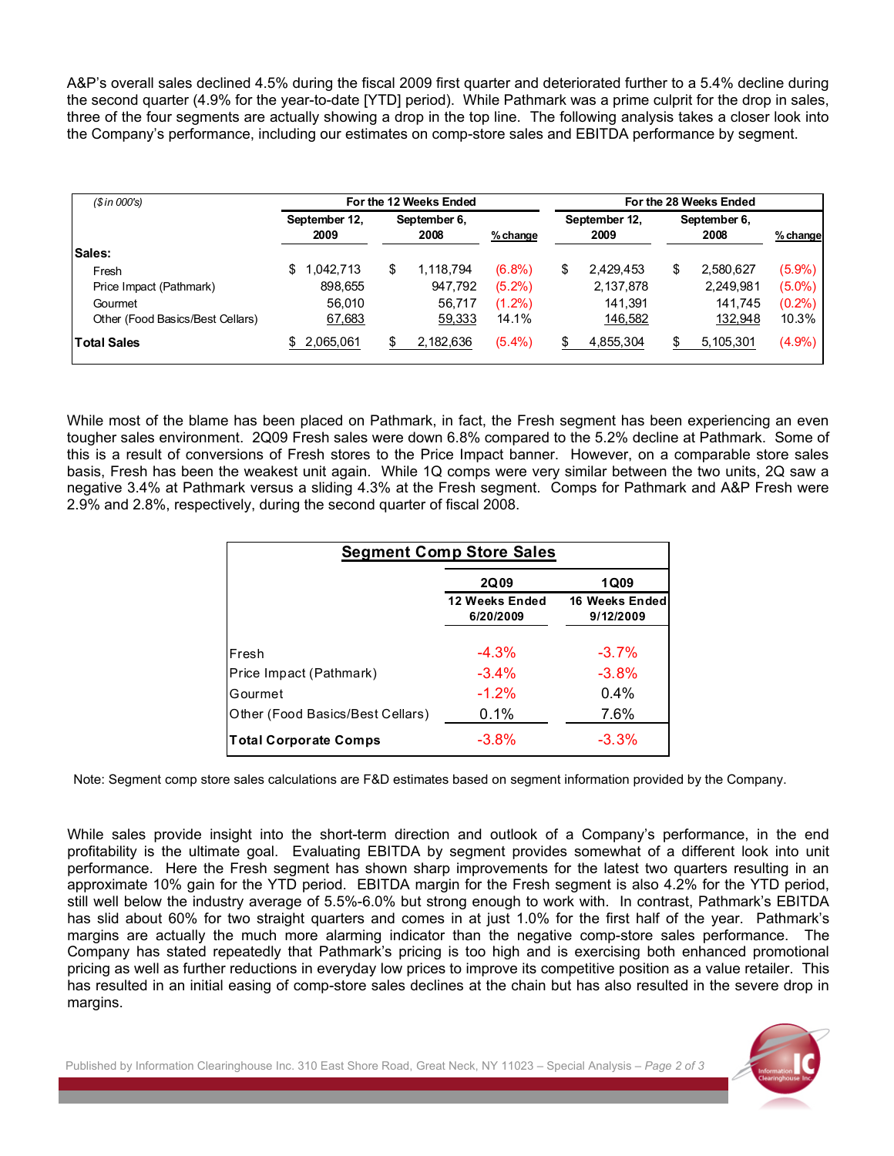A&P's overall sales declined 4.5% during the fiscal 2009 first quarter and deteriorated further to a 5.4% decline during the second quarter (4.9% for the year-to-date [YTD] period). While Pathmark was a prime culprit for the drop in sales, three of the four segments are actually showing a drop in the top line. The following analysis takes a closer look into the Company's performance, including our estimates on comp-store sales and EBITDA performance by segment.

| (Sin 000's)                      | For the 12 Weeks Ended                        |    |            |                       |    | For the 28 Weeks Ended |    |           |           |  |  |
|----------------------------------|-----------------------------------------------|----|------------|-----------------------|----|------------------------|----|-----------|-----------|--|--|
|                                  | September 12,<br>September 6,<br>2009<br>2008 |    | $%$ change | September 12,<br>2009 |    | September 6,<br>2008   |    | % change  |           |  |  |
| <b>Sales:</b>                    |                                               |    |            |                       |    |                        |    |           |           |  |  |
| Fresh                            | 1.042,713<br>\$.                              | \$ | 1.118.794  | $(6.8\%)$             | \$ | 2,429,453              | \$ | 2,580,627 | $(5.9\%)$ |  |  |
| Price Impact (Pathmark)          | 898.655                                       |    | 947.792    | $(5.2\%)$             |    | 2,137,878              |    | 2,249,981 | $(5.0\%)$ |  |  |
| Gourmet                          | 56.010                                        |    | 56.717     | $(1.2\%)$             |    | 141.391                |    | 141.745   | $(0.2\%)$ |  |  |
| Other (Food Basics/Best Cellars) | 67,683                                        |    | 59,333     | 14.1%                 |    | 146,582                |    | 132,948   | 10.3%     |  |  |
| <b>Total Sales</b>               | 2,065,061                                     |    | 2,182,636  | $(5.4\%)$             |    | 4,855,304              |    | 5,105,301 | $(4.9\%)$ |  |  |

While most of the blame has been placed on Pathmark, in fact, the Fresh segment has been experiencing an even tougher sales environment. 2Q09 Fresh sales were down 6.8% compared to the 5.2% decline at Pathmark. Some of this is a result of conversions of Fresh stores to the Price Impact banner. However, on a comparable store sales basis, Fresh has been the weakest unit again. While 1Q comps were very similar between the two units, 2Q saw a negative 3.4% at Pathmark versus a sliding 4.3% at the Fresh segment. Comps for Pathmark and A&P Fresh were 2.9% and 2.8%, respectively, during the second quarter of fiscal 2008.

| <b>Segment Comp Store Sales</b>  |                             |                             |  |  |  |  |  |  |
|----------------------------------|-----------------------------|-----------------------------|--|--|--|--|--|--|
|                                  | <b>2Q09</b>                 | <b>1Q09</b>                 |  |  |  |  |  |  |
|                                  | 12 Weeks Ended<br>6/20/2009 | 16 Weeks Ended<br>9/12/2009 |  |  |  |  |  |  |
| Fresh                            | $-4.3%$                     | $-3.7\%$                    |  |  |  |  |  |  |
| Price Impact (Pathmark)          | $-3.4\%$                    | $-3.8%$                     |  |  |  |  |  |  |
| Gourmet                          | $-1.2%$                     | $0.4\%$                     |  |  |  |  |  |  |
| Other (Food Basics/Best Cellars) | $0.1\%$                     | 7.6%                        |  |  |  |  |  |  |
| <b>Total Corporate Comps</b>     | $-3.8\%$                    | $-3.3%$                     |  |  |  |  |  |  |

Note: Segment comp store sales calculations are F&D estimates based on segment information provided by the Company.

While sales provide insight into the short-term direction and outlook of a Company's performance, in the end profitability is the ultimate goal. Evaluating EBITDA by segment provides somewhat of a different look into unit performance. Here the Fresh segment has shown sharp improvements for the latest two quarters resulting in an approximate 10% gain for the YTD period. EBITDA margin for the Fresh segment is also 4.2% for the YTD period, still well below the industry average of 5.5%-6.0% but strong enough to work with. In contrast, Pathmark's EBITDA has slid about 60% for two straight quarters and comes in at just 1.0% for the first half of the year. Pathmark's margins are actually the much more alarming indicator than the negative comp-store sales performance. The Company has stated repeatedly that Pathmark's pricing is too high and is exercising both enhanced promotional pricing as well as further reductions in everyday low prices to improve its competitive position as a value retailer. This has resulted in an initial easing of comp-store sales declines at the chain but has also resulted in the severe drop in margins.

Published by Information Clearinghouse Inc. 310 East Shore Road, Great Neck, NY 11023 – Special Analysis – *Page 2 of 3*